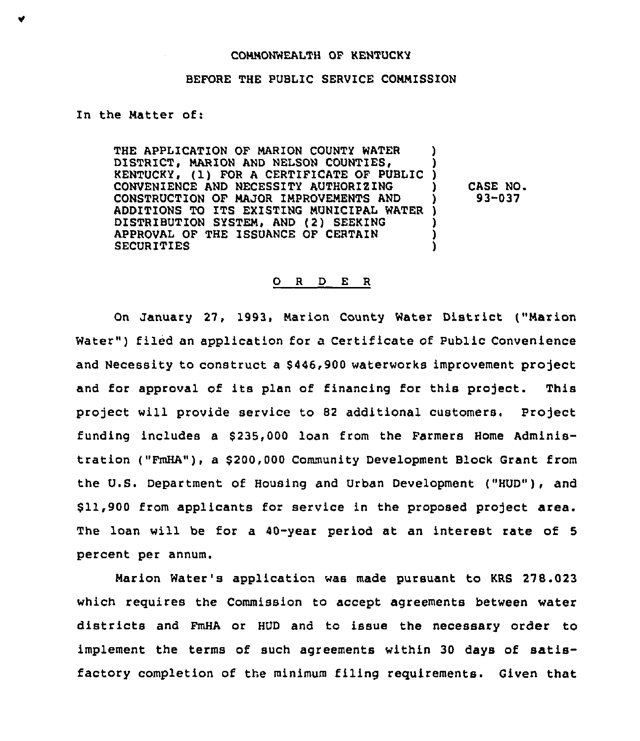#### COMMONWEALTH OF KENTUCKY

### BEFORE THE PUBLIC SERVICE CONMISSION

# In the Matter of:

THE APPLICATION OF MARION COUNTY WATER DISTRICT, MARION AND NELSON COUNTIES, KENTUCKY, (1) FOR A CERTIFICATE OF PUBLIC CONVENIENCE AND NECESSITY AUTHORIZING CONSTRUCTION OF MAJOR IMPROVEMENTS AND ADDITIONS TO ITS EXISTING MUNICIPAL WATER ) DISTRIBUTION SYSTEM, AND (2) SEEKING APPROVAL OF THE ISSUANCE OF CERTAIN **SECURITIES** ) ) ) ) ) )

) CASE NO. ) 93-037

#### 0 <sup>R</sup> <sup>D</sup> <sup>E</sup> <sup>R</sup>

On January 27, 1993, Marion County Water District ("Marion Water") filed an application for a Certificate of Public Convenience and Necessity to construct a \$ 446,900 waterworks improvement project and for approval of its plan of financing for this project. This project will provide service to 82 additional customers. Project funding includes a \$235,000 loan from the Farmers Home Administration ("FmHA"), a \$200,000 Community Development Block Grant from the U.S. Department of Housing and Urban Development ("HUD"), and \$ 11,900 from applicants for service in the proposed project area. The loan will be for a 40-year period at an interest rate of 5 percent per annum.

Marion Water's application was made pursuant to KRS 278.023 which requires the Commission to accept agreements between water districts and FmHA or HUD and to issue the necessary order to implement the terms of such agreements within 30 days of satisfactory completion of the minimum filing requirements. Given that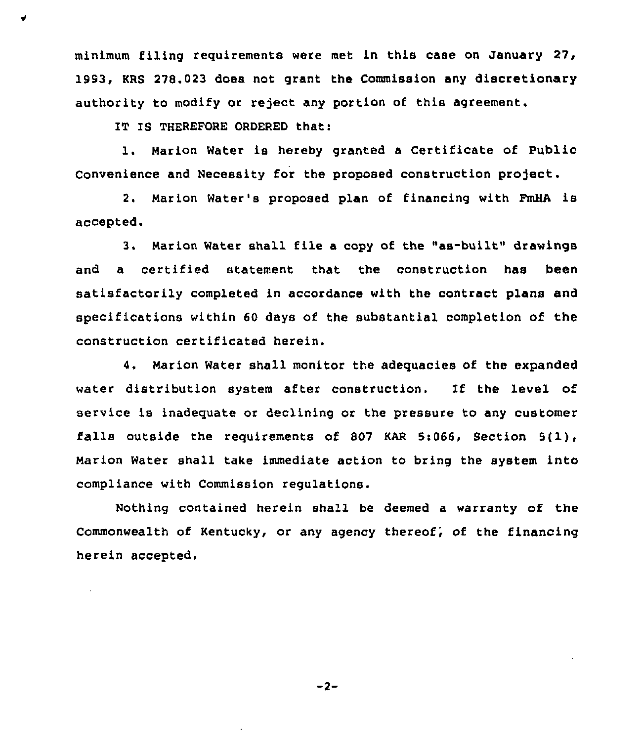minimum filing requirements were met in this case on January 27 '993, KRS 278.023 does not grant the Commission any discretionary authority to modify or reject any portion of this agreement.

IT IS THEREFORE OROERED that:

1. Marion Water is hereby granted <sup>a</sup> Certificate of Public Convenience and Necessity for the proposed construction project.

2. Marion Water's proposed plan of financing with FmHA is accepted.

3, Marion Water shall file a copy of the "as-built" drawings and a certified statement that the construction has been satisfactorily completed in accordance with the contract plans and specifications within 60 days of the substantial completion of the construction certificated herein.

4. Marion Water shall monitor the adequacies of the expanded water distribution system after construction. If the level of service is inadequate or declining or the pressure to any customer falls outside the requirements of S07 KAR 5:066, Section 5<1), Marion Water shall take immediate action to bring the system into compliance with Commission regulations.

Nothing contained herein shall be deemed a warranty of the Commonwealth of Kentucky, or any agency thereof, of the financing herein accepted.

 $-2-$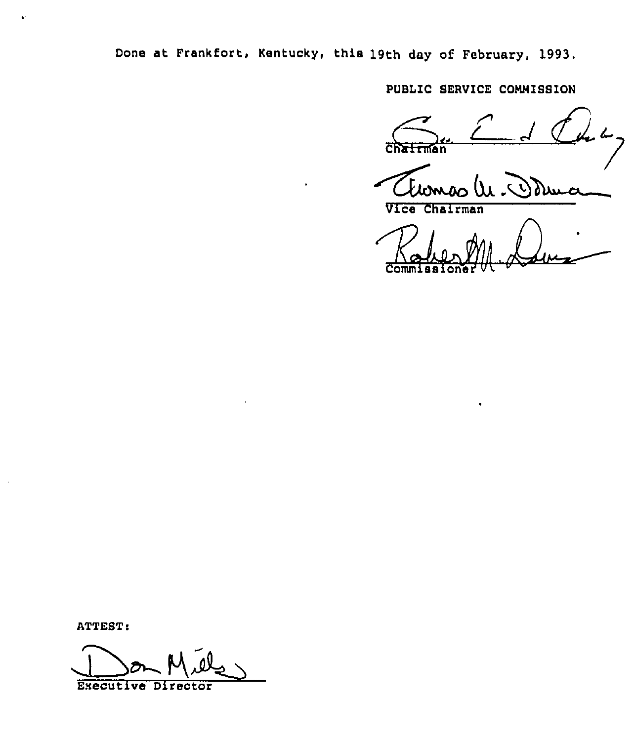Done at Frankfort, Kentucky, this 19th day of February, 1993.

PUBLIC SERVICE COMMISSION

Alomão Odm

Vice Chairman

 $Comm 1$ ssioner  $W$ 

ATTEST:

Esecutive Director